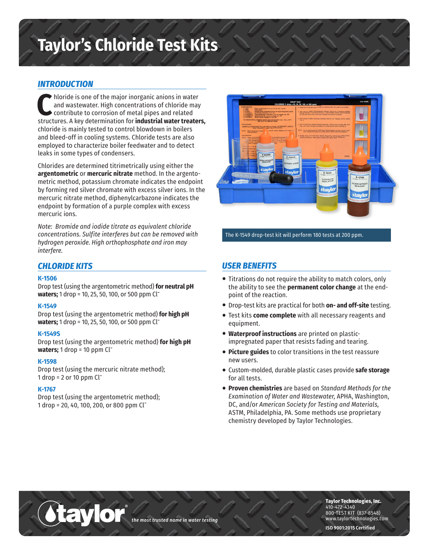# **Taylor's Chloride Test Kits**

# *INTRODUCTION*

**C** hloride is one of the major inorganic anions in water and wastewater. High concentrations of chloride may contribute to corrosion of metal pipes and related structures. A key determination for **industrial water treaters,** chloride is mainly tested to control blowdown in boilers and bleed-off in cooling systems. Chloride tests are also employed to characterize boiler feedwater and to detect leaks in some types of condensers.

Chlorides are determined titrimetrically using either the **argentometric** or **mercuric nitrate** method. In the argentometric method, potassium chromate indicates the endpoint by forming red silver chromate with excess silver ions. In the mercuric nitrate method, diphenylcarbazone indicates the endpoint by formation of a purple complex with excess mercuric ions.

*Note: Bromide and iodide titrate as equivalent chloride concentrations. Sulfite interferes but can be removed with hydrogen peroxide. High orthophosphate and iron may interfere.*

# *CHLORIDE KITS*

## **K-1506**

Drop test (using the argentometric method) **for neutral pH waters;** 1 drop = 10, 25, 50, 100, or 500 ppm Cl-

#### **K-1549**

Drop test (using the argentometric method) **for high pH waters;** 1 drop = 10, 25, 50, 100, or 500 ppm Cl-

## **K-1549S**

Drop test (using the argentometric method) **for high pH waters;** 1 drop = 10 ppm Cl-

®

#### **K-1598**

Drop test (using the mercuric nitrate method); 1 drop =  $2$  or 10 ppm  $Cl^{-}$ 

## **K-1767**

Drop test (using the argentometric method); 1 drop = 20, 40, 100, 200, or 800 ppm Cl-



#### The K-1549 drop-test kit will perform 180 tests at 200 ppm.

## *USER BENEFITS*

- Titrations do not require the ability to match colors, only the ability to see the **permanent color change** at the endpoint of the reaction.
- Drop-test kits are practical for both **on- and off-site** testing.
- Test kits **come complete** with all necessary reagents and equipment.
- **Waterproof instructions** are printed on plasticimpregnated paper that resists fading and tearing.
- **Picture guides** to color transitions in the test reassure new users.
- Custom-molded, durable plastic cases provide **safe storage** for all tests.
- **Proven chemistries** are based on *Standard Methods for the Examination of Water and Wastewater,* APHA, Washington, DC, and/or *American Society for Testing and Materials,* ASTM, Philadelphia, PA. Some methods use proprietary chemistry developed by Taylor Technologies.

*the most trusted name in water testing*

**Taylor Technologies, Inc.** 410-472-4340 800-TEST KIT (837-8548) www.taylortechnologies.com

**ISO 9001:2015 Certified**